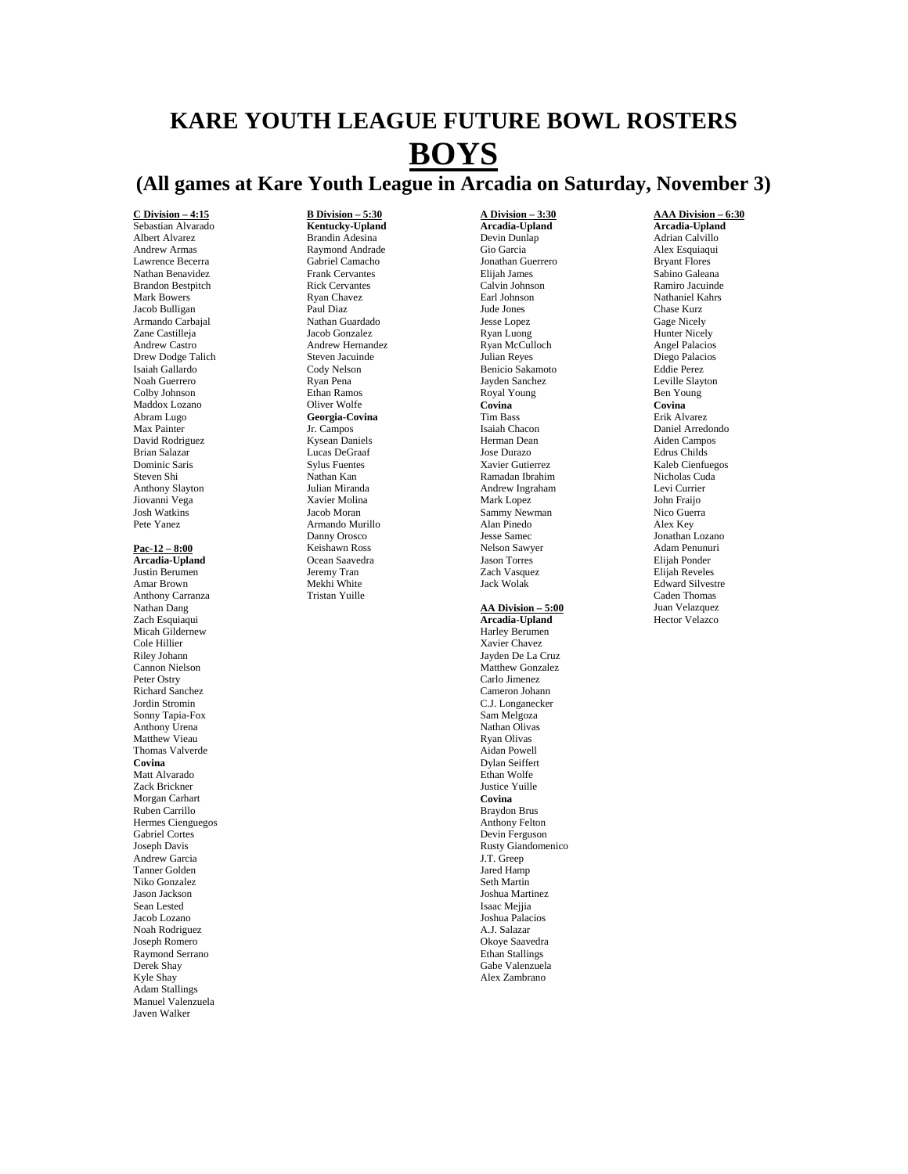# **KARE YOUTH LEAGUE FUTURE BOWL ROSTERS BOYS**

## **(All games at Kare Youth League in Arcadia on Saturday, November 3)**

**C Division – 4:15** Sebastian Alvarado Albert Alvarez Andrew Armas Lawrence Becerra Nathan Benavidez Brandon Bestpitch Mark Bowers Jacob Bulligan Armando Carbajal Zane Castilleja Andrew Castro Drew Dodge Talich Isaiah Gallardo Noah Guerrero Colby Johnson Maddox Lozano Abram Lugo Max Painter David Rodriguez Brian Salazar Dominic Saris Steven Shi Anthony Slayton Jiovanni Vega Josh Watkins Pete Yanez

#### **Pac-12 – 8:00 Arcadia-Upland**

Justin Berumen Amar Brown Anthony Carranza Nathan Dang Zach Esquiaqui Micah Gildernew Cole Hillier Riley Johann Cannon Nielson Peter Ostry Richard Sanchez Jordin Stromin Sonny Tapia-Fox Anthony Urena Matthew Vieau Thomas Valverde **Covina**  Matt Alvarado Zack Brickner Morgan Carhart Ruben Carrillo Hermes Cienguegos Gabriel Cortes Joseph Davis Andrew Garcia Tanner Golden Niko Gonzalez Jason Jackson Sean Lested Jacob Lozano Noah Rodriguez Joseph Romero Raymond Serrano Derek Shay Kyle Shay Adam Stallings Manuel Valenzuela Javen Walker

#### **B Division – 5:30 Kentucky-Upland**

Brandin Adesina Raymond Andrade Gabriel Camacho Frank Cervantes Rick Cervantes Ryan Chavez Paul Diaz Nathan Guardado Jacob Gonzalez Andrew Hernandez Steven Jacuinde Cody Nelson Ryan Pena Ethan Ramos Oliver Wolfe **Georgia-Covina**  Jr. Campos Kysean Daniels Lucas DeGraaf Sylus Fuentes Nathan Kan Julian Miranda Xavier Molina Jacob Moran Armando Murillo Danny Orosco Keishawn Ross Ocean Saavedra Jeremy Tran Mekhi White Tristan Yuille

**A Division – 3:30 Arcadia-Upland**  Devin Dunlap Gio Garcia Jonathan Guerrero Elijah James Calvin Johnson Earl Johnson Jude Jones Jesse Lopez Ryan Luong Ryan McCulloch Julian Reyes Benicio Sakamoto Jayden Sanchez Royal Young **Covina**  Tim Bass Isaiah Chacon Herman Dean Jose Durazo Xavier Gutierrez Ramadan Ibrahim Andrew Ingraham Mark Lopez Sammy Newman Alan Pinedo Jesse Samec Nelson Sawyer Jason Torres Zach Vasquez Jack Wolak

#### **AA Division – 5:00**

**Arcadia-Upland**  Harley Berumen Xavier Chavez Jayden De La Cruz Matthew Gonzalez Carlo Jimenez Cameron Johann C.J. Longanecker Sam Melgoza Nathan Olivas Ryan Olivas Aidan Powell Dylan Seiffert Ethan Wolfe Justice Yuille **Covina**  Braydon Brus Anthony Felton Devin Ferguson Rusty Giandomenico J.T. Greep Jared Hamp Seth Martin Joshua Martinez Isaac Mejjia Joshua Palacios A.J. Salazar Okoye Saavedra Ethan Stallings Gabe Valenzuela Alex Zambrano

**AAA Division – 6:30 Arcadia-Upland**  Adrian Calvillo Alex Esquiaqui Bryant Flores Sabino Galeana Ramiro Jacuinde Nathaniel Kahrs Chase Kurz Gage Nicely Hunter Nicely Angel Palacios Diego Palacios Eddie Perez Leville Slayton Ben Young **Covina**  Erik Alvarez Daniel Arredondo Aiden Campos Edrus Childs Kaleb Cienfuegos Nicholas Cuda Levi Currier John Fraijo Nico Guerra Alex Key Jonathan Lozano Adam Penunuri Elijah Ponder Elijah Reveles Edward Silvestre Caden Thomas Juan Velazquez Hector Velazco